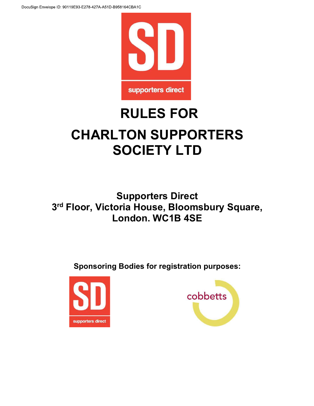

# RULES FOR CHARLTON SUPPORTERS SOCIETY LTD

Supporters Direct 3<sup>rd</sup> Floor, Victoria House, Bloomsbury Square, London. WC1B 4SE

Sponsoring Bodies for registration purposes:



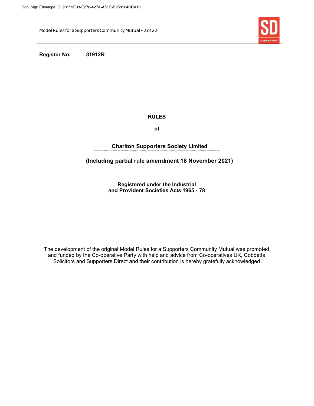Model Rules for a Supporters Community Mutual - 2 of 22



Register No: 31912R

RULES

of

## Charlton Supporters Society Limited

# (Including partial rule amendment 18 November 2021)

Registered under the Industrial and Provident Societies Acts 1965 - 78

The development of the original Model Rules for a Supporters Community Mutual was promoted and funded by the Co-operative Party with help and advice from Co-operatives UK, Cobbetts Solicitors and Supporters Direct and their contribution is hereby gratefully acknowledged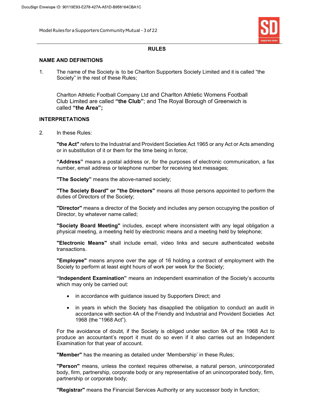Model Rules for a Supporters Community Mutual - 3 of 22



#### RULES

#### NAME AND DEFINITIONS

1. The name of the Society is to be Charlton Supporters Society Limited and it is called "the Society" in the rest of these Rules;

Charlton Athletic Football Company Ltd and Charlton Athletic Womens Football Club Limited are called **"the Club"**; and The Royal Borough of Greenwich is called **"the Area";**

#### INTERPRETATIONS

2. In these Rules:

"the Act" refers to the Industrial and Provident Societies Act 1965 or any Act or Acts amending or in substitution of it or them for the time being in force;

"Address" means a postal address or, for the purposes of electronic communication, a fax number, email address or telephone number for receiving text messages;

"The Society" means the above-named society;

**"The Society Board" or "the Directors"** means all those persons appointed to perform the duties of Directors of the Society;

"Director" means a director of the Society and includes any person occupying the position of Director, by whatever name called;

"Society Board Meeting" includes, except where inconsistent with any legal obligation a physical meeting, a meeting held by electronic means and a meeting held by telephone;

"Electronic Means" shall include email, video links and secure authenticated website transactions.

**"Employee"** means anyone over the age of 16 holding a contract of employment with the Society to perform at least eight hours of work per week for the Society;

"Independent Examination" means an independent examination of the Society's accounts which may only be carried out:

- in accordance with guidance issued by Supporters Direct; and
- in years in which the Society has disapplied the obligation to conduct an audit in accordance with section 4A of the Friendly and Industrial and Provident Societies Act 1968 (the "1968 Act").

For the avoidance of doubt, if the Society is obliged under section 9A of the 1968 Act to produce an accountant's report it must do so even if it also carries out an Independent Examination for that year of account.

"Member" has the meaning as detailed under 'Membership' in these Rules;

"Person" means, unless the context requires otherwise, a natural person, unincorporated body, firm, partnership, corporate body or any representative of an unincorporated body, firm, partnership or corporate body;

**"Registrar"** means the Financial Services Authority or any successor body in function;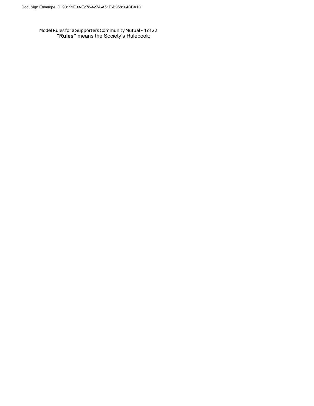Model Rules for a Supporters Community Mutual - 4 of 22 "Rules" means the Society's Rulebook;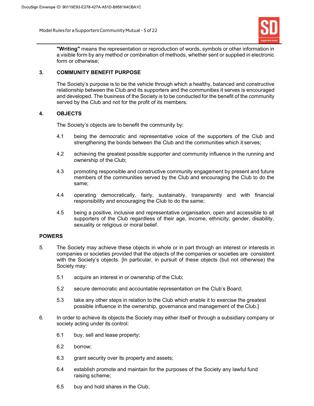Model Rules for a Supporters Community Mutual - 5 of 22



"Writing" means the representation or reproduction of words, symbols or other information in a visible form by any method or combination of methods, whether sent or supplied in electronic form or otherwise;

## 3. COMMUNITY BENEFIT PURPOSE

The Society's purpose is to be the vehicle through which a healthy, balanced and constructive relationship between the Club and its supporters and the communities it serves is encouraged and developed. The business of the Society is to be conducted for the benefit of the community served by the Club and not for the profit of its members.

## 4. OBJECTS

The Society's objects are to benefit the community by:

- 4.1 being the democratic and representative voice of the supporters of the Club and strengthening the bonds between the Club and the communities which it serves;
- 4.2 achieving the greatest possible supporter and community influence in the running and ownership of the Club;
- 4.3 promoting responsible and constructive community engagement by present and future members of the communities served by the Club and encouraging the Club to do the same;
- 4.4 operating democratically, fairly, sustainably, transparently and with financial responsibility and encouraging the Club to do the same;
- 4.5 being a positive, inclusive and representative organisation, open and accessible to all supporters of the Club regardless of their age, income, ethnicity, gender, disability, sexuality or religious or moral belief.

#### POWERS

- 5. The Society may achieve these objects in whole or in part through an interest or interests in companies or societies provided that the objects of the companies or societies are consistent with the Society's objects. [In particular, in pursuit of these objects (but not otherwise) the Society may:
	- 5.1 acquire an interest in or ownership of the Club;
	- 5.2 secure democratic and accountable representation on the Club's Board;
	- 5.3 take any other steps in relation to the Club which enable it to exercise the greatest possible influence in the ownership, governance and management of the Club.]
- 6. In order to achieve its objects the Society may either itself or through a subsidiary company or society acting under its control:
	- 6.1 buy, sell and lease property;
	- 6.2 borrow;
	- 6.3 grant security over its property and assets;
	- 6.4 establish promote and maintain for the purposes of the Society any lawful fund raising scheme;
	- 6.5 buy and hold shares in the Club;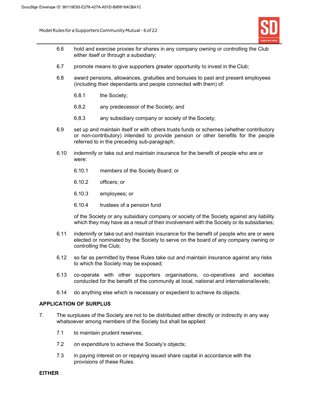Model Rules for a Supporters Community Mutual - 6 of 22



- 6.6 hold and exercise proxies for shares in any company owning or controlling the Club either itself or through a subsidiary;
- 6.7 promote means to give supporters greater opportunity to invest in the Club;
- 6.8 award pensions, allowances, gratuities and bonuses to past and present employees (including their dependants and people connected with them) of:
	- 6.8.1 the Society;
	- 6.8.2 any predecessor of the Society; and
	- 6.8.3 any subsidiary company or society of the Society;
- 6.9 set up and maintain itself or with others trusts funds or schemes (whether contributory or non-contributory) intended to provide pension or other benefits for the people referred to in the preceding sub-paragraph;
- 6.10 indemnify or take out and maintain insurance for the benefit of people who are or were:
	- 6.10.1 members of the Society Board; or
	- 6.10.2 officers; or
	- 6.10.3 employees; or
	- 6.10.4 trustees of a pension fund

of the Society or any subsidiary company or society of the Society against any liability which they may have as a result of their involvement with the Society or its subsidiaries;

- 6.11 indemnify or take out and maintain insurance for the benefit of people who are or were elected or nominated by the Society to serve on the board of any company owning or controlling the Club;
- 6.12 so far as permitted by these Rules take out and maintain insurance against any risks to which the Society may be exposed;
- 6.13 co-operate with other supporters organisations, co-operatives and societies conducted for the benefit of the community at local, national and international levels;
- 6.14 do anything else which is necessary or expedient to achieve its objects.

#### APPLICATION OF SURPLUS

- 7. The surpluses of the Society are not to be distributed either directly or indirectly in any way whatsoever among members of the Society but shall be applied:
	- 7.1 to maintain prudent reserves;
	- 7.2 on expenditure to achieve the Society's objects;
	- 7.3 in paying interest on or repaying issued share capital in accordance with the provisions of these Rules.

#### EITHER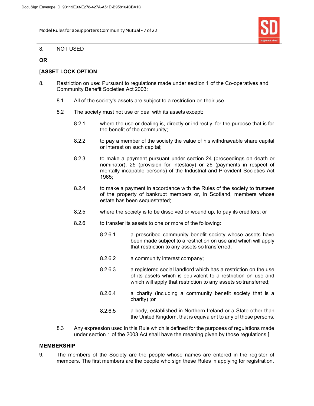Model Rules for a Supporters Community Mutual - 7 of 22



#### 8. NOT USED

## OR

## **IASSET LOCK OPTION**

- 8. Restriction on use: Pursuant to regulations made under section 1 of the Co-operatives and Community Benefit Societies Act 2003:
	- 8.1 All of the society's assets are subject to a restriction on their use.
	- 8.2 The society must not use or deal with its assets except:
		- 8.2.1 where the use or dealing is, directly or indirectly, for the purpose that is for the benefit of the community;
		- 8.2.2 to pay a member of the society the value of his withdrawable share capital or interest on such capital;
		- 8.2.3 to make a payment pursuant under section 24 (proceedings on death or nominator), 25 (provision for intestacy) or 26 (payments in respect of mentally incapable persons) of the Industrial and Provident Societies Act 1965;
		- 8.2.4 to make a payment in accordance with the Rules of the society to trustees of the property of bankrupt members or, in Scotland, members whose estate has been sequestrated;
		- 8.2.5 where the society is to be dissolved or wound up, to pay its creditors; or
		- 8.2.6 to transfer its assets to one or more of the following:
			- 8.2.6.1 a prescribed community benefit society whose assets have been made subject to a restriction on use and which will apply that restriction to any assets so transferred;
				- 8.2.6.2 a community interest company;
				- 8.2.6.3 a registered social landlord which has a restriction on the use of its assets which is equivalent to a restriction on use and which will apply that restriction to any assets so transferred;
				- 8.2.6.4 a charity (including a community benefit society that is a charity) ;or
			- 8.2.6.5 a body, established in Northern Ireland or a State other than the United Kingdom, that is equivalent to any of those persons.
	- 8.3 Any expression used in this Rule which is defined for the purposes of regulations made under section 1 of the 2003 Act shall have the meaning given by those regulations.]

#### MEMBERSHIP

9. The members of the Society are the people whose names are entered in the register of members. The first members are the people who sign these Rules in applying for registration.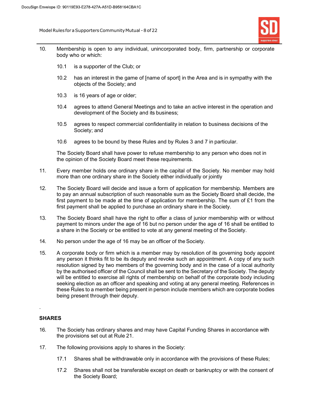Model Rules for a Supporters Community Mutual - 8 of 22



- 10. Membership is open to any individual, unincorporated body, firm, partnership or corporate body who or which:
	- 10.1 is a supporter of the Club; or
	- 10.2 has an interest in the game of [name of sport] in the Area and is in sympathy with the objects of the Society; and
	- 10.3 is 16 years of age or older;
	- 10.4 agrees to attend General Meetings and to take an active interest in the operation and development of the Society and its business;
	- 10.5 agrees to respect commercial confidentiality in relation to business decisions of the Society; and
	- 10.6 agrees to be bound by these Rules and by Rules 3 and 7 in particular.

The Society Board shall have power to refuse membership to any person who does not in the opinion of the Society Board meet these requirements.

- 11. Every member holds one ordinary share in the capital of the Society. No member may hold more than one ordinary share in the Society either individually or jointly
- 12. The Society Board will decide and issue a form of application for membership. Members are to pay an annual subscription of such reasonable sum as the Society Board shall decide, the first payment to be made at the time of application for membership. The sum of  $£1$  from the first payment shall be applied to purchase an ordinary share in the Society.
- 13. The Society Board shall have the right to offer a class of junior membership with or without payment to minors under the age of 16 but no person under the age of 16 shall be entitled to a share in the Society or be entitled to vote at any general meeting of the Society.
- 14. No person under the age of 16 may be an officer of the Society.
- 15. A corporate body or firm which is a member may by resolution of its governing body appoint any person it thinks fit to be its deputy and revoke such an appointment. A copy of any such resolution signed by two members of the governing body and in the case of a local authority by the authorised officer of the Council shall be sent to the Secretary of the Society. The deputy will be entitled to exercise all rights of membership on behalf of the corporate body including seeking election as an officer and speaking and voting at any general meeting. References in these Rules to a member being present in person include members which are corporate bodies being present through their deputy.

## **SHARES**

.

- 16. The Society has ordinary shares and may have Capital Funding Shares in accordance with the provisions set out at Rule 21.
- 17. The following provisions apply to shares in the Society:
	- 17.1 Shares shall be withdrawable only in accordance with the provisions of these Rules;
	- 17.2 Shares shall not be transferable except on death or bankruptcy or with the consent of the Society Board;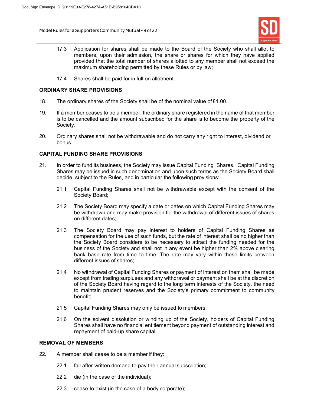Model Rules for a Supporters Community Mutual - 9 of 22



- 17.3 Application for shares shall be made to the Board of the Society who shall allot to members, upon their admission, the share or shares for which they have applied provided that the total number of shares allotted to any member shall not exceed the maximum shareholding permitted by these Rules or by law;
- 17.4 Shares shall be paid for in full on allotment.

## ORDINARY SHARE PROVISIONS

- 18. The ordinary shares of the Society shall be of the nominal value of £1.00.
- 19. If a member ceases to be a member, the ordinary share registered in the name of that member is to be cancelled and the amount subscribed for the share is to become the property of the Society.
- 20. Ordinary shares shall not be withdrawable and do not carry any right to interest, dividend or bonus.

## CAPITAL FUNDING SHARE PROVISIONS

- 21. In order to fund its business, the Society may issue Capital Funding Shares. Capital Funding Shares may be issued in such denomination and upon such terms as the Society Board shall decide, subject to the Rules, and in particular the following provisions:
	- 21.1 Capital Funding Shares shall not be withdrawable except with the consent of the Society Board;
	- 21.2 The Society Board may specify a date or dates on which Capital Funding Shares may be withdrawn and may make provision for the withdrawal of different issues of shares on different dates;
	- 21.3 The Society Board may pay interest to holders of Capital Funding Shares as compensation for the use of such funds, but the rate of interest shall be no higher than the Society Board considers to be necessary to attract the funding needed for the business of the Society and shall not in any event be higher than 2% above clearing bank base rate from time to time. The rate may vary within these limits between different issues of shares;
	- 21.4 No withdrawal of Capital Funding Shares or payment of interest on them shall be made except from trading surpluses and any withdrawal or payment shall be at the discretion of the Society Board having regard to the long term interests of the Society, the need to maintain prudent reserves and the Society's primary commitment to community benefit;
	- 21.5 Capital Funding Shares may only be issued to members;
	- 21.6 On the solvent dissolution or winding up of the Society, holders of Capital Funding Shares shall have no financial entitlement beyond payment of outstanding interest and repayment of paid-up share capital.

#### REMOVAL OF MEMBERS

- 22. A member shall cease to be a member if they:
	- 22.1 fail after written demand to pay their annual subscription;
	- 22.2 die (in the case of the individual);
	- 22.3 cease to exist (in the case of a body corporate);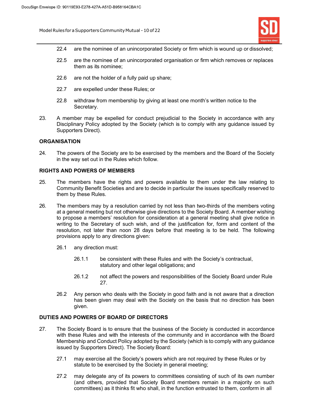Model Rules for a Supporters Community Mutual - 10 of 22



- 22.4 are the nominee of an unincorporated Society or firm which is wound up or dissolved;
- 22.5 are the nominee of an unincorporated organisation or firm which removes or replaces them as its nominee;
- 22.6 are not the holder of a fully paid up share;
- 22.7 are expelled under these Rules; or
- 22.8 withdraw from membership by giving at least one month's written notice to the Secretary.
- 23. A member may be expelled for conduct prejudicial to the Society in accordance with any Disciplinary Policy adopted by the Society (which is to comply with any guidance issued by Supporters Direct).

#### **ORGANISATION**

24. The powers of the Society are to be exercised by the members and the Board of the Society in the way set out in the Rules which follow.

#### RIGHTS AND POWERS OF MEMBERS

- 25. The members have the rights and powers available to them under the law relating to Community Benefit Societies and are to decide in particular the issues specifically reserved to them by these Rules.
- 26. The members may by a resolution carried by not less than two-thirds of the members voting at a general meeting but not otherwise give directions to the Society Board. A member wishing to propose a members' resolution for consideration at a general meeting shall give notice in writing to the Secretary of such wish, and of the justification for, form and content of the resolution, not later than noon 28 days before that meeting is to be held. The following provisions apply to any directions given:
	- 26.1 any direction must:
		- 26.1.1 be consistent with these Rules and with the Society's contractual, statutory and other legal obligations; and
		- 26.1.2 not affect the powers and responsibilities of the Society Board under Rule 27.
	- 26.2 Any person who deals with the Society in good faith and is not aware that a direction has been given may deal with the Society on the basis that no direction has been given.

#### DUTIES AND POWERS OF BOARD OF DIRECTORS

- 27. The Society Board is to ensure that the business of the Society is conducted in accordance with these Rules and with the interests of the community and in accordance with the Board Membership and Conduct Policy adopted by the Society (which is to comply with any guidance issued by Supporters Direct). The Society Board:
	- 27.1 may exercise all the Society's powers which are not required by these Rules or by statute to be exercised by the Society in general meeting;
	- 27.2 may delegate any of its powers to committees consisting of such of its own number (and others, provided that Society Board members remain in a majority on such committees) as it thinks fit who shall, in the function entrusted to them, conform in all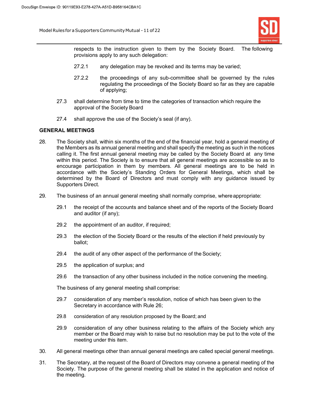Model Rules for a Supporters Community Mutual - 11 of 22



respects to the instruction given to them by the Society Board. The following provisions apply to any such delegation:

- 27.2.1 any delegation may be revoked and its terms may be varied;
- 27.2.2 the proceedings of any sub-committee shall be governed by the rules regulating the proceedings of the Society Board so far as they are capable of applying;
- 27.3 shall determine from time to time the categories of transaction which require the approval of the Society Board
- 27.4 shall approve the use of the Society's seal (if any).

#### GENERAL MEETINGS

- 28. The Society shall, within six months of the end of the financial year, hold a general meeting of the Members as its annual general meeting and shall specify the meeting as such in the notices calling it. The first annual general meeting may be called by the Society Board at any time within this period. The Society is to ensure that all general meetings are accessible so as to encourage participation in them by members. All general meetings are to be held in accordance with the Society's Standing Orders for General Meetings, which shall be determined by the Board of Directors and must comply with any guidance issued by Supporters Direct.
- 29. The business of an annual general meeting shall normally comprise, where appropriate:
	- 29.1 the receipt of the accounts and balance sheet and of the reports of the Society Board and auditor (if any);
	- 29.2 the appointment of an auditor, if required;
	- 29.3 the election of the Society Board or the results of the election if held previously by ballot;
	- 29.4 the audit of any other aspect of the performance of the Society;
	- 29.5 the application of surplus; and
	- 29.6 the transaction of any other business included in the notice convening the meeting.

The business of any general meeting shall comprise:

- 29.7 consideration of any member's resolution, notice of which has been given to the Secretary in accordance with Rule 26;
- 29.8 consideration of any resolution proposed by the Board; and
- 29.9 consideration of any other business relating to the affairs of the Society which any member or the Board may wish to raise but no resolution may be put to the vote of the meeting under this item.
- 30. All general meetings other than annual general meetings are called special general meetings.
- 31. The Secretary, at the request of the Board of Directors may convene a general meeting of the Society. The purpose of the general meeting shall be stated in the application and notice of the meeting.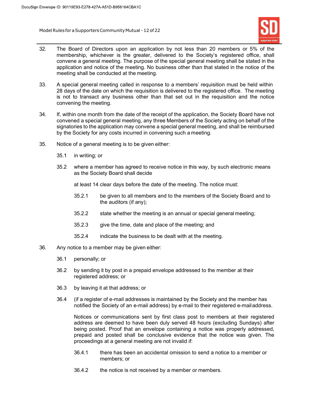Model Rules for a Supporters Community Mutual - 12 of 22



- 32. The Board of Directors upon an application by not less than 20 members or 5% of the membership, whichever is the greater, delivered to the Society's registered office, shall convene a general meeting. The purpose of the special general meeting shall be stated in the application and notice of the meeting. No business other than that stated in the notice of the meeting shall be conducted at the meeting.
- 33. A special general meeting called in response to a members' requisition must be held within 28 days of the date on which the requisition is delivered to the registered office. The meeting is not to transact any business other than that set out in the requisition and the notice convening the meeting.
- 34. If, within one month from the date of the receipt of the application, the Society Board have not convened a special general meeting, any three Members of the Society acting on behalf of the signatories to the application may convene a special general meeting, and shall be reimbursed by the Society for any costs incurred in convening such a meeting.
- 35. Notice of a general meeting is to be given either:
	- 35.1 in writing; or
	- 35.2 where a member has agreed to receive notice in this way, by such electronic means as the Society Board shall decide

at least 14 clear days before the date of the meeting. The notice must:

- 35.2.1 be given to all members and to the members of the Society Board and to the auditors (if any);
- 35.2.2 state whether the meeting is an annual or special general meeting;
- 35.2.3 give the time, date and place of the meeting; and
- 35.2.4 indicate the business to be dealt with at the meeting.
- 36. Any notice to a member may be given either:
	- 36.1 personally; or
	- 36.2 by sending it by post in a prepaid envelope addressed to the member at their registered address; or
	- 36.3 by leaving it at that address; or
	- 36.4 (if a register of e-mail addresses is maintained by the Society and the member has notified the Society of an e-mail address) by e-mail to their registered e-mail address.

Notices or communications sent by first class post to members at their registered address are deemed to have been duly served 48 hours (excluding Sundays) after being posted. Proof that an envelope containing a notice was properly addressed, prepaid and posted shall be conclusive evidence that the notice was given. The proceedings at a general meeting are not invalid if:

- 36.4.1 there has been an accidental omission to send a notice to a member or members; or
- 36.4.2 the notice is not received by a member or members.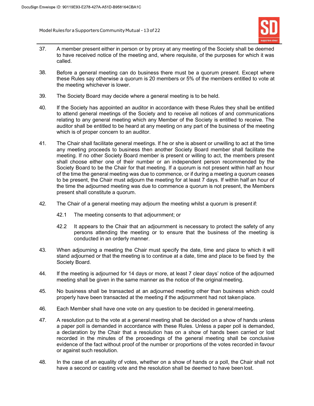Model Rules for a Supporters Community Mutual - 13 of 22



- 37. A member present either in person or by proxy at any meeting of the Society shall be deemed to have received notice of the meeting and, where requisite, of the purposes for which it was called.
- 38. Before a general meeting can do business there must be a quorum present. Except where these Rules say otherwise a quorum is 20 members or 5% of the members entitled to vote at the meeting whichever is lower.
- 39. The Society Board may decide where a general meeting is to be held.
- 40. If the Society has appointed an auditor in accordance with these Rules they shall be entitled to attend general meetings of the Society and to receive all notices of and communications relating to any general meeting which any Member of the Society is entitled to receive. The auditor shall be entitled to be heard at any meeting on any part of the business of the meeting which is of proper concern to an auditor.
- 41. The Chair shall facilitate general meetings. If he or she is absent or unwilling to act at the time any meeting proceeds to business then another Society Board member shall facilitate the meeting. If no other Society Board member is present or willing to act, the members present shall choose either one of their number or an independent person recommended by the Society Board to be the Chair for that meeting. If a quorum is not present within half an hour of the time the general meeting was due to commence, or if during a meeting a quorum ceases to be present, the Chair must adjourn the meeting for at least 7 days. If within half an hour of the time the adjourned meeting was due to commence a quorum is not present, the Members present shall constitute a quorum.
- 42. The Chair of a general meeting may adjourn the meeting whilst a quorum is present if:
	- 42.1 The meeting consents to that adjournment; or
	- 42.2 It appears to the Chair that an adjournment is necessary to protect the safety of any persons attending the meeting or to ensure that the business of the meeting is conducted in an orderly manner.
- 43. When adjourning a meeting the Chair must specify the date, time and place to which it will stand adjourned or that the meeting is to continue at a date, time and place to be fixed by the Society Board.
- 44. If the meeting is adjourned for 14 days or more, at least 7 clear days' notice of the adjourned meeting shall be given in the same manner as the notice of the original meeting.
- 45. No business shall be transacted at an adjourned meeting other than business which could properly have been transacted at the meeting if the adjournment had not taken place.
- 46. Each Member shall have one vote on any question to be decided in general meeting.
- 47. A resolution put to the vote at a general meeting shall be decided on a show of hands unless a paper poll is demanded in accordance with these Rules. Unless a paper poll is demanded, a declaration by the Chair that a resolution has on a show of hands been carried or lost recorded in the minutes of the proceedings of the general meeting shall be conclusive evidence of the fact without proof of the number or proportions of the votes recorded in favour or against such resolution.
- 48. In the case of an equality of votes, whether on a show of hands or a poll, the Chair shall not have a second or casting vote and the resolution shall be deemed to have been lost.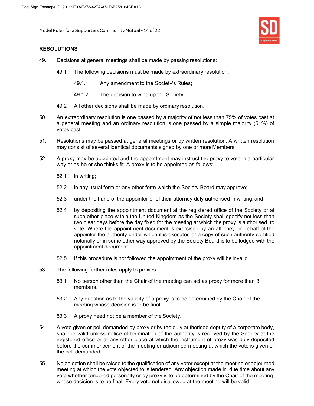Model Rules for a Supporters Community Mutual - 14 of 22

#### RESOLUTIONS

- 49. Decisions at general meetings shall be made by passing resolutions:
	- 49.1 The following decisions must be made by extraordinary resolution:
		- 49.1.1 Any amendment to the Society's Rules;
		- 49.1.2 The decision to wind up the Society.
	- 49.2 All other decisions shall be made by ordinary resolution.
- 50. An extraordinary resolution is one passed by a majority of not less than 75% of votes cast at a general meeting and an ordinary resolution is one passed by a simple majority (51%) of votes cast.
- 51. Resolutions may be passed at general meetings or by written resolution. A written resolution may consist of several identical documents signed by one or more Members.
- 52. A proxy may be appointed and the appointment may instruct the proxy to vote in a particular way or as he or she thinks fit. A proxy is to be appointed as follows:
	- 52.1 in writing;
	- 52.2 in any usual form or any other form which the Society Board may approve;
	- 52.3 under the hand of the appointor or of their attorney duly authorised in writing; and
	- 52.4 by depositing the appointment document at the registered office of the Society or at such other place within the United Kingdom as the Society shall specify not less than two clear days before the day fixed for the meeting at which the proxy is authorised to vote. Where the appointment document is exercised by an attorney on behalf of the appointor the authority under which it is executed or a copy of such authority certified notarially or in some other way approved by the Society Board is to be lodged with the appointment document.
	- 52.5 If this procedure is not followed the appointment of the proxy will be invalid.
- 53. The following further rules apply to proxies.
	- 53.1 No person other than the Chair of the meeting can act as proxy for more than 3 members.
	- 53.2 Any question as to the validity of a proxy is to be determined by the Chair of the meeting whose decision is to be final.
	- 53.3 A proxy need not be a member of the Society.
- 54. A vote given or poll demanded by proxy or by the duly authorised deputy of a corporate body, shall be valid unless notice of termination of the authority is received by the Society at the registered office or at any other place at which the instrument of proxy was duly deposited before the commencement of the meeting or adjourned meeting at which the vote is given or the poll demanded.
- 55. No objection shall be raised to the qualification of any voter except at the meeting or adjourned meeting at which the vote objected to is tendered. Any objection made in due time about any vote whether tendered personally or by proxy is to be determined by the Chair of the meeting, whose decision is to be final. Every vote not disallowed at the meeting will be valid.

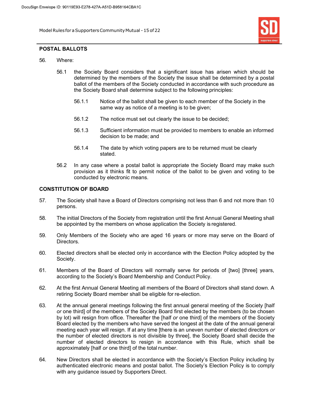Model Rules for a Supporters Community Mutual - 15 of 22



#### POSTAL BALLOTS

- 56. Where:
	- 56.1 the Society Board considers that a significant issue has arisen which should be determined by the members of the Society the issue shall be determined by a postal ballot of the members of the Society conducted in accordance with such procedure as the Society Board shall determine subject to the following principles:
		- 56.1.1 Notice of the ballot shall be given to each member of the Society in the same way as notice of a meeting is to be given;
		- 56.1.2 The notice must set out clearly the issue to be decided;
		- 56.1.3 Sufficient information must be provided to members to enable an informed decision to be made; and
		- 56.1.4 The date by which voting papers are to be returned must be clearly stated.
	- 56.2 In any case where a postal ballot is appropriate the Society Board may make such provision as it thinks fit to permit notice of the ballot to be given and voting to be conducted by electronic means.

## CONSTITUTION OF BOARD

- 57. The Society shall have a Board of Directors comprising not less than 6 and not more than 10 persons.
- 58. The initial Directors of the Society from registration until the first Annual General Meeting shall be appointed by the members on whose application the Society is registered.
- 59. Only Members of the Society who are aged 16 years or more may serve on the Board of Directors.
- 60. Elected directors shall be elected only in accordance with the Election Policy adopted by the Society.
- 61. Members of the Board of Directors will normally serve for periods of [two] [three] years, according to the Society's Board Membership and Conduct Policy.
- 62. At the first Annual General Meeting all members of the Board of Directors shall stand down. A retiring Society Board member shall be eligible for re-election.
- 63. At the annual general meetings following the first annual general meeting of the Society [half or one third] of the members of the Society Board first elected by the members (to be chosen by lot) will resign from office. Thereafter the [half or one third] of the members of the Society Board elected by the members who have served the longest at the date of the annual general meeting each year will resign. If at any time [there is an uneven number of elected directors or the number of elected directors is not divisible by three], the Society Board shall decide the number of elected directors to resign in accordance with this Rule, which shall be approximately [half or one third] of the total number.
- 64. New Directors shall be elected in accordance with the Society's Election Policy including by authenticated electronic means and postal ballot. The Society's Election Policy is to comply with any guidance issued by Supporters Direct.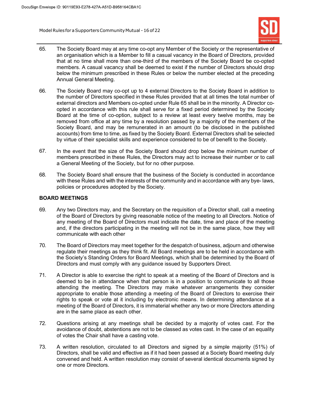Model Rules for a Supporters Community Mutual - 16 of 22



- 65. The Society Board may at any time co-opt any Member of the Society or the representative of an organisation which is a Member to fill a casual vacancy in the Board of Directors, provided that at no time shall more than one-third of the members of the Society Board be co-opted members. A casual vacancy shall be deemed to exist if the number of Directors should drop below the minimum prescribed in these Rules or below the number elected at the preceding Annual General Meeting.
- 66. The Society Board may co-opt up to 4 external Directors to the Society Board in addition to the number of Directors specified in these Rules provided that at all times the total number of external directors and Members co-opted under Rule 65 shall be in the minority. A Director coopted in accordance with this rule shall serve for a fixed period determined by the Society Board at the time of co-option, subject to a review at least every twelve months, may be removed from office at any time by a resolution passed by a majority of the members of the Society Board, and may be remunerated in an amount (to be disclosed in the published accounts) from time to time, as fixed by the Society Board. External Directors shall be selected by virtue of their specialist skills and experience considered to be of benefit to the Society.
- 67. In the event that the size of the Society Board should drop below the minimum number of members prescribed in these Rules, the Directors may act to increase their number or to call a General Meeting of the Society, but for no other purpose.
- 68. The Society Board shall ensure that the business of the Society is conducted in accordance with these Rules and with the interests of the community and in accordance with any bye- laws, policies or procedures adopted by the Society.

## BOARD MEETINGS

- 69. Any two Directors may, and the Secretary on the requisition of a Director shall, call a meeting of the Board of Directors by giving reasonable notice of the meeting to all Directors. Notice of any meeting of the Board of Directors must indicate the date, time and place of the meeting and, if the directors participating in the meeting will not be in the same place, how they will communicate with each other
- 70. The Board of Directors may meet together for the despatch of business, adjourn and otherwise regulate their meetings as they think fit. All Board meetings are to be held in accordance with the Society's Standing Orders for Board Meetings, which shall be determined by the Board of Directors and must comply with any guidance issued by Supporters Direct.
- 71. A Director is able to exercise the right to speak at a meeting of the Board of Directors and is deemed to be in attendance when that person is in a position to communicate to all those attending the meeting. The Directors may make whatever arrangements they consider appropriate to enable those attending a meeting of the Board of Directors to exercise their rights to speak or vote at it including by electronic means. In determining attendance at a meeting of the Board of Directors, it is immaterial whether any two or more Directors attending are in the same place as each other.
- 72. Questions arising at any meetings shall be decided by a majority of votes cast. For the avoidance of doubt, abstentions are not to be classed as votes cast. In the case of an equality of votes the Chair shall have a casting vote.
- 73. A written resolution, circulated to all Directors and signed by a simple majority (51%) of Directors, shall be valid and effective as if it had been passed at a Society Board meeting duly convened and held. A written resolution may consist of several identical documents signed by one or more Directors.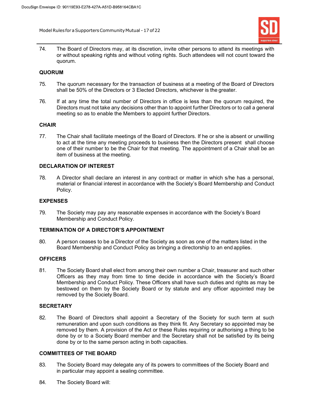Model Rules for a Supporters Community Mutual - 17 of 22



74. The Board of Directors may, at its discretion, invite other persons to attend its meetings with or without speaking rights and without voting rights. Such attendees will not count toward the quorum.

## QUORUM

- 75. The quorum necessary for the transaction of business at a meeting of the Board of Directors shall be 50% of the Directors or 3 Elected Directors, whichever is the greater.
- 76. If at any time the total number of Directors in office is less than the quorum required, the Directors must not take any decisions other than to appoint further Directors or to call a general meeting so as to enable the Members to appoint further Directors.

## **CHAIR**

77. The Chair shall facilitate meetings of the Board of Directors. If he or she is absent or unwilling to act at the time any meeting proceeds to business then the Directors present shall choose one of their number to be the Chair for that meeting. The appointment of a Chair shall be an item of business at the meeting.

## DECLARATION OF INTEREST

78. A Director shall declare an interest in any contract or matter in which s/he has a personal, material or financial interest in accordance with the Society's Board Membership and Conduct Policy.

#### EXPENSES

79. The Society may pay any reasonable expenses in accordance with the Society's Board Membership and Conduct Policy.

#### TERMINATION OF A DIRECTOR'S APPOINTMENT

80. A person ceases to be a Director of the Society as soon as one of the matters listed in the Board Membership and Conduct Policy as bringing a directorship to an end applies.

#### **OFFICERS**

81. The Society Board shall elect from among their own number a Chair, treasurer and such other Officers as they may from time to time decide in accordance with the Society's Board Membership and Conduct Policy. These Officers shall have such duties and rights as may be bestowed on them by the Society Board or by statute and any officer appointed may be removed by the Society Board.

## **SECRETARY**

82. The Board of Directors shall appoint a Secretary of the Society for such term at such remuneration and upon such conditions as they think fit. Any Secretary so appointed may be removed by them. A provision of the Act or these Rules requiring or authorising a thing to be done by or to a Society Board member and the Secretary shall not be satisfied by its being done by or to the same person acting in both capacities.

## COMMITTEES OF THE BOARD

- 83. The Society Board may delegate any of its powers to committees of the Society Board and in particular may appoint a sealing committee.
- 84. The Society Board will: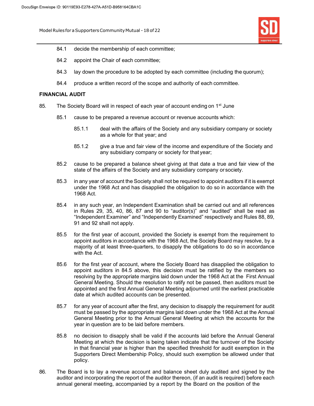Model Rules for a Supporters Community Mutual - 18 of 22



- 84.1 decide the membership of each committee;
- 84.2 appoint the Chair of each committee;
- 84.3 lay down the procedure to be adopted by each committee (including the quorum);
- 84.4 produce a written record of the scope and authority of each committee.

#### FINANCIAL AUDIT

- 85. The Society Board will in respect of each year of account ending on  $1<sup>st</sup>$  June
	- 85.1 cause to be prepared a revenue account or revenue accounts which:
		- 85.1.1 deal with the affairs of the Society and any subsidiary company or society as a whole for that year; and
		- 85.1.2 give a true and fair view of the income and expenditure of the Society and any subsidiary company or society for that year;
	- 85.2 cause to be prepared a balance sheet giving at that date a true and fair view of the state of the affairs of the Society and any subsidiary company or society.
	- 85.3 in any year of account the Society shall not be required to appoint auditors if it is exempt under the 1968 Act and has disapplied the obligation to do so in accordance with the 1968 Act.
	- 85.4 in any such year, an Independent Examination shall be carried out and all references in Rules 29, 35, 40, 86, 87 and 90 to "auditor(s)" and "audited" shall be read as "Independent Examiner" and "Independently Examined" respectively and Rules 88, 89, 91 and 92 shall not apply.
	- 85.5 for the first year of account, provided the Society is exempt from the requirement to appoint auditors in accordance with the 1968 Act, the Society Board may resolve, by a majority of at least three-quarters, to disapply the obligations to do so in accordance with the Act.
	- 85.6 for the first year of account, where the Society Board has disapplied the obligation to appoint auditors in 84.5 above, this decision must be ratified by the members so resolving by the appropriate margins laid down under the 1968 Act at the First Annual General Meeting. Should the resolution to ratify not be passed, then auditors must be appointed and the first Annual General Meeting adjourned until the earliest practicable date at which audited accounts can be presented.
	- 85.7 for any year of account after the first, any decision to disapply the requirement for audit must be passed by the appropriate margins laid down under the 1968 Act at the Annual General Meeting prior to the Annual General Meeting at which the accounts for the year in question are to be laid before members.
	- 85.8 no decision to disapply shall be valid if the accounts laid before the Annual General Meeting at which the decision is being taken indicate that the turnover of the Society in that financial year is higher than the specified threshold for audit exemption in the Supporters Direct Membership Policy, should such exemption be allowed under that policy.
- 86. The Board is to lay a revenue account and balance sheet duly audited and signed by the auditor and incorporating the report of the auditor thereon, (if an audit is required) before each annual general meeting, accompanied by a report by the Board on the position of the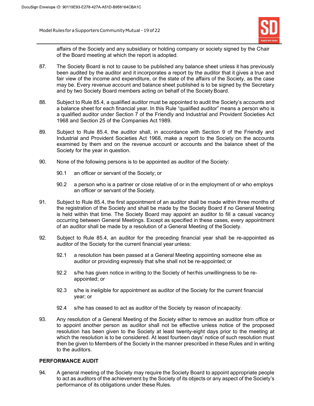Model Rules for a Supporters Community Mutual - 19 of 22



affairs of the Society and any subsidiary or holding company or society signed by the Chair of the Board meeting at which the report is adopted.

- 87. The Society Board is not to cause to be published any balance sheet unless it has previously been audited by the auditor and it incorporates a report by the auditor that it gives a true and fair view of the income and expenditure, or the state of the affairs of the Society, as the case may be. Every revenue account and balance sheet published is to be signed by the Secretary and by two Society Board members acting on behalf of the Society Board.
- 88. Subject to Rule 85.4, a qualified auditor must be appointed to audit the Society's accounts and a balance sheet for each financial year. In this Rule "qualified auditor" means a person who is a qualified auditor under Section 7 of the Friendly and Industrial and Provident Societies Act 1968 and Section 25 of the Companies Act 1989.
- 89. Subject to Rule 85.4, the auditor shall, in accordance with Section 9 of the Friendly and Industrial and Provident Societies Act 1968, make a report to the Society on the accounts examined by them and on the revenue account or accounts and the balance sheet of the Society for the year in question.
- 90. None of the following persons is to be appointed as auditor of the Society:
	- 90.1 an officer or servant of the Society; or
	- 90.2 a person who is a partner or close relative of or in the employment of or who employs an officer or servant of the Society.
- 91. Subject to Rule 85.4, the first appointment of an auditor shall be made within three months of the registration of the Society and shall be made by the Society Board if no General Meeting is held within that time. The Society Board may appoint an auditor to fill a casual vacancy occurring between General Meetings. Except as specified in these cases, every appointment of an auditor shall be made by a resolution of a General Meeting of the Society.
- 92. Subject to Rule 85.4, an auditor for the preceding financial year shall be re-appointed as auditor of the Society for the current financial year unless:
	- 92.1 a resolution has been passed at a General Meeting appointing someone else as auditor or providing expressly that s/he shall not be re-appointed; or
	- 92.2 s/he has given notice in writing to the Society of her/his unwillingness to be reappointed; or
	- 92.3 s/he is ineligible for appointment as auditor of the Society for the current financial year; or
	- 92.4 s/he has ceased to act as auditor of the Society by reason of incapacity.
- 93. Any resolution of a General Meeting of the Society either to remove an auditor from office or to appoint another person as auditor shall not be effective unless notice of the proposed resolution has been given to the Society at least twenty-eight days prior to the meeting at which the resolution is to be considered. At least fourteen days' notice of such resolution must then be given to Members of the Society in the manner prescribed in these Rules and in writing to the auditors.

#### PERFORMANCE AUDIT

94. A general meeting of the Society may require the Society Board to appoint appropriate people to act as auditors of the achievement by the Society of its objects or any aspect of the Society's performance of its obligations under these Rules.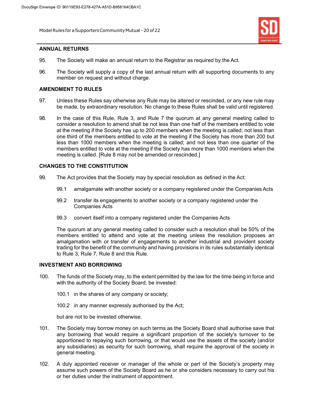Model Rules for a Supporters Community Mutual - 20 of 22



#### ANNUAL RETURNS

- 95. The Society will make an annual return to the Registrar as required by the Act.
- 96. The Society will supply a copy of the last annual return with all supporting documents to any member on request and without charge.

#### AMENDMENT TO RULES

- 97. Unless these Rules say otherwise any Rule may be altered or rescinded, or any new rule may be made, by extraordinary resolution. No change to these Rules shall be valid until registered.
- 98. In the case of this Rule, Rule 3, and Rule 7 the quorum at any general meeting called to consider a resolution to amend shall be not less than one half of the members entitled to vote at the meeting if the Society has up to 200 members when the meeting is called; not less than one third of the members entitled to vote at the meeting if the Society has more than 200 but less than 1000 members when the meeting is called; and not less than one quarter of the members entitled to vote at the meeting if the Society has more than 1000 members when the meeting is called. [Rule 8 may not be amended or rescinded.]

## CHANGES TO THE CONSTITUTION

- 99. The Act provides that the Society may by special resolution as defined in the Act:
	- 99.1 amalgamate with another society or a company registered under the Companies Acts
	- 99.2 transfer its engagements to another society or a company registered under the Companies Acts
	- 99.3 convert itself into a company registered under the Companies Acts

The quorum at any general meeting called to consider such a resolution shall be 50% of the members entitled to attend and vote at the meeting unless the resolution proposes an amalgamation with or transfer of engagements to another industrial and provident society trading for the benefit of the community and having provisions in its rules substantially identical to Rule 3, Rule 7, Rule 8 and this Rule.

#### INVESTMENT AND BORROWING

- 100. The funds of the Society may, to the extent permitted by the law for the time being in force and with the authority of the Society Board, be invested:
	- 100.1 in the shares of any company or society;
	- 100.2 in any manner expressly authorised by the Act;

but are not to be invested otherwise.

- 101. The Society may borrow money on such terms as the Society Board shall authorise save that any borrowing that would require a significant proportion of the society's turnover to be apportioned to repaying such borrowing, or that would use the assets of the society (and/or any subsidiaries) as security for such borrowing, shall require the approval of the society in general meeting.
- 102. A duly appointed receiver or manager of the whole or part of the Society's property may assume such powers of the Society Board as he or she considers necessary to carry out his or her duties under the instrument of appointment.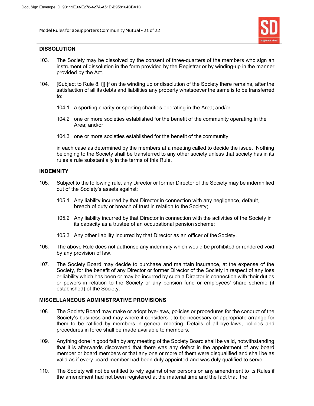Model Rules for a Supporters Community Mutual - 21 of 22



#### **DISSOLUTION**

- 103. The Society may be dissolved by the consent of three-quarters of the members who sign an instrument of dissolution in the form provided by the Registrar or by winding-up in the manner provided by the Act.
- 104. [Subject to Rule 8, i][I]f on the winding up or dissolution of the Society there remains, after the satisfaction of all its debts and liabilities any property whatsoever the same is to be transferred to:
	- 104.1 a sporting charity or sporting charities operating in the Area; and/or
	- 104.2 one or more societies established for the benefit of the community operating in the Area; and/or
	- 104.3 one or more societies established for the benefit of the community

in each case as determined by the members at a meeting called to decide the issue. Nothing belonging to the Society shall be transferred to any other society unless that society has in its rules a rule substantially in the terms of this Rule.

#### INDEMNITY

- 105. Subject to the following rule, any Director or former Director of the Society may be indemnified out of the Society's assets against:
	- 105.1 Any liability incurred by that Director in connection with any negligence, default, breach of duty or breach of trust in relation to the Society;
	- 105.2 Any liability incurred by that Director in connection with the activities of the Society in its capacity as a trustee of an occupational pension scheme;
	- 105.3 Any other liability incurred by that Director as an officer of the Society.
- 106. The above Rule does not authorise any indemnity which would be prohibited or rendered void by any provision of law.
- 107. The Society Board may decide to purchase and maintain insurance, at the expense of the Society, for the benefit of any Director or former Director of the Society in respect of any loss or liability which has been or may be incurred by such a Director in connection with their duties or powers in relation to the Society or any pension fund or employees' share scheme (if established) of the Society.

## MISCELLANEOUS ADMINISTRATIVE PROVISIONS

- 108. The Society Board may make or adopt bye-laws, policies or procedures for the conduct of the Society's business and may where it considers it to be necessary or appropriate arrange for them to be ratified by members in general meeting. Details of all bye-laws, policies and procedures in force shall be made available to members.
- 109. Anything done in good faith by any meeting of the Society Board shall be valid, notwithstanding that it is afterwards discovered that there was any defect in the appointment of any board member or board members or that any one or more of them were disqualified and shall be as valid as if every board member had been duly appointed and was duly qualified to serve.
- 110. The Society will not be entitled to rely against other persons on any amendment to its Rules if the amendment had not been registered at the material time and the fact that the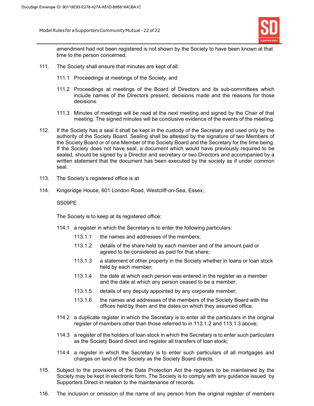Model Rules for a Supporters Community Mutual - 22 of 22



amendment had not been registered is not shown by the Society to have been known at that time to the person concerned.

- 111. The Society shall ensure that minutes are kept of all:
	- 111.1 Proceedings at meetings of the Society; and
	- 111.2 Proceedings at meetings of the Board of Directors and its sub-committees which include names of the Directors present, decisions made and the reasons for those decisions.
	- 111.3 Minutes of meetings will be read at the next meeting and signed by the Chair of that meeting. The signed minutes will be conclusive evidence of the events of the meeting.
- 112. If the Society has a seal it shall be kept in the custody of the Secretary and used only by the authority of the Society Board. Sealing shall be attested by the signature of two Members of the Society Board or of one Member of the Society Board and the Secretary for the time being. If the Society does not have seal, a document which would have previously required to be sealed, should be signed by a Director and secretary or two Directors and accompanied by a written statement that the document has been executed by the society as if under common seal.
- 113. The Society's registered office is at
- 114. Kingsridge House, 601 London Road, Westcliff-on-Sea, Essex,

#### SS09PE

The Society is to keep at its registered office:

- 114.1 a register in which the Secretary is to enter the following particulars:
	- 113.1.1 the names and addresses of the members;
	- 113.1.2 details of the share held by each member and of the amount paid or agreed to be considered as paid for that share;
	- 113.1.3 a statement of other property in the Society whether in loans or loan stock held by each member;
	- 113.1.4 the date at which each person was entered in the register as a member and the date at which any person ceased to be a member;
	- 113.1.5 details of any deputy appointed by any corporate member;
	- 113.1.6 the names and addresses of the members of the Society Board with the offices held by them and the dates on which they assumed office.
- 114.2 a duplicate register in which the Secretary is to enter all the particulars in the original register of members other than those referred to in 113.1.2 and 113.1.3 above;
- 114.3 a register of the holders of loan stock in which the Secretary is to enter such particulars as the Society Board direct and register all transfers of loan stock;
- 114.4 a register in which the Secretary is to enter such particulars of all mortgages and charges on land of the Society as the Society Board directs.
- 115. Subject to the provisions of the Data Protection Act the registers to be maintained by the Society may be kept in electronic form. The Society is to comply with any guidance issued by Supporters Direct in relation to the maintenance of records.
- 116. The inclusion or omission of the name of any person from the original register of members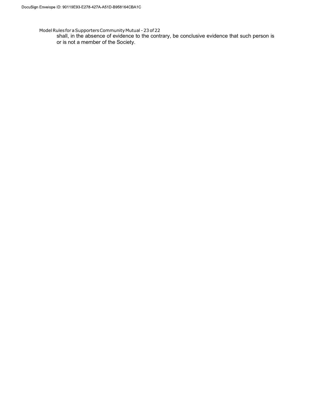Model Rules for a Supporters Community Mutual - 23 of 22

shall, in the absence of evidence to the contrary, be conclusive evidence that such person is or is not a member of the Society.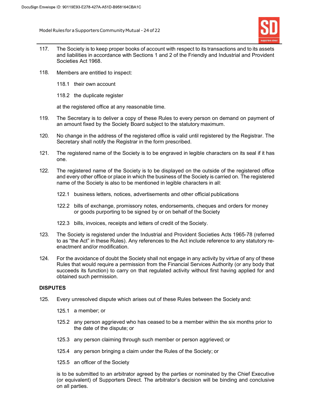Model Rules for a Supporters Community Mutual - 24 of 22



- 117. The Society is to keep proper books of account with respect to its transactions and to its assets and liabilities in accordance with Sections 1 and 2 of the Friendly and Industrial and Provident Societies Act 1968.
- 118. Members are entitled to inspect:
	- 118.1 their own account
	- 118.2 the duplicate register

at the registered office at any reasonable time.

- 119. The Secretary is to deliver a copy of these Rules to every person on demand on payment of an amount fixed by the Society Board subject to the statutory maximum.
- 120. No change in the address of the registered office is valid until registered by the Registrar. The Secretary shall notify the Registrar in the form prescribed.
- 121. The registered name of the Society is to be engraved in legible characters on its seal if it has one.
- 122. The registered name of the Society is to be displayed on the outside of the registered office and every other office or place in which the business of the Society is carried on. The registered name of the Society is also to be mentioned in legible characters in all:
	- 122.1 business letters, notices, advertisements and other official publications
	- 122.2 bills of exchange, promissory notes, endorsements, cheques and orders for money or goods purporting to be signed by or on behalf of the Society
	- 122.3 bills, invoices, receipts and letters of credit of the Society.
- 123. The Society is registered under the Industrial and Provident Societies Acts 1965-78 (referred to as "the Act" in these Rules). Any references to the Act include reference to any statutory reenactment and/or modification.
- 124. For the avoidance of doubt the Society shall not engage in any activity by virtue of any of these Rules that would require a permission from the Financial Services Authority (or any body that succeeds its function) to carry on that regulated activity without first having applied for and obtained such permission.

## **DISPUTES**

- 125. Every unresolved dispute which arises out of these Rules between the Society and:
	- 125.1 a member; or
	- 125.2 any person aggrieved who has ceased to be a member within the six months prior to the date of the dispute; or
	- 125.3 any person claiming through such member or person aggrieved; or
	- 125.4 any person bringing a claim under the Rules of the Society; or
	- 125.5 an officer of the Society

is to be submitted to an arbitrator agreed by the parties or nominated by the Chief Executive (or equivalent) of Supporters Direct. The arbitrator's decision will be binding and conclusive on all parties.